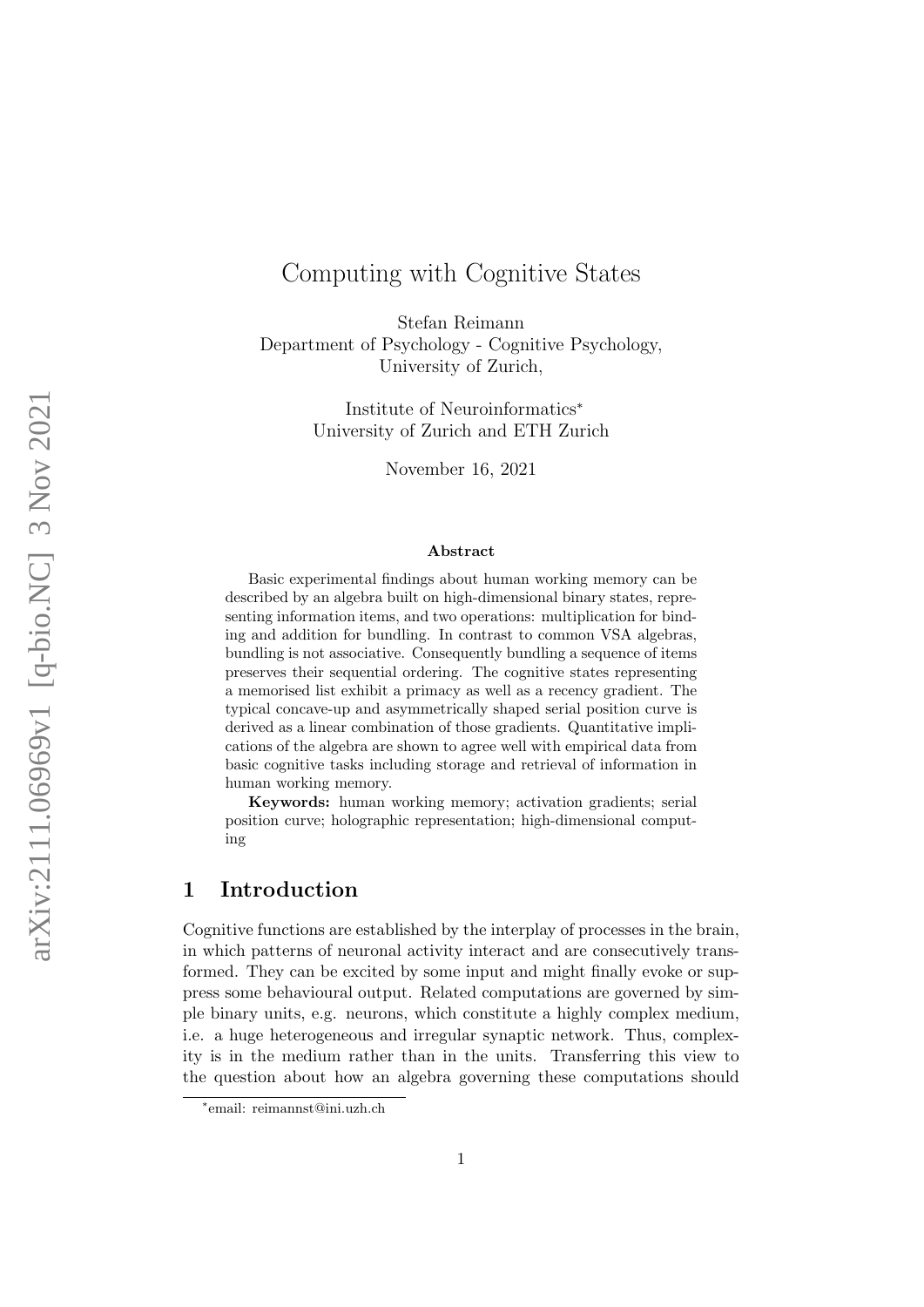# Computing with Cognitive States

Stefan Reimann Department of Psychology - Cognitive Psychology, University of Zurich,

> Institute of Neuroinformatics<sup>∗</sup> University of Zurich and ETH Zurich

> > November 16, 2021

#### Abstract

Basic experimental findings about human working memory can be described by an algebra built on high-dimensional binary states, representing information items, and two operations: multiplication for binding and addition for bundling. In contrast to common VSA algebras, bundling is not associative. Consequently bundling a sequence of items preserves their sequential ordering. The cognitive states representing a memorised list exhibit a primacy as well as a recency gradient. The typical concave-up and asymmetrically shaped serial position curve is derived as a linear combination of those gradients. Quantitative implications of the algebra are shown to agree well with empirical data from basic cognitive tasks including storage and retrieval of information in human working memory.

Keywords: human working memory; activation gradients; serial position curve; holographic representation; high-dimensional computing

# <span id="page-0-0"></span>1 Introduction

Cognitive functions are established by the interplay of processes in the brain, in which patterns of neuronal activity interact and are consecutively transformed. They can be excited by some input and might finally evoke or suppress some behavioural output. Related computations are governed by simple binary units, e.g. neurons, which constitute a highly complex medium, i.e. a huge heterogeneous and irregular synaptic network. Thus, complexity is in the medium rather than in the units. Transferring this view to the question about how an algebra governing these computations should

<sup>∗</sup> email: reimannst@ini.uzh.ch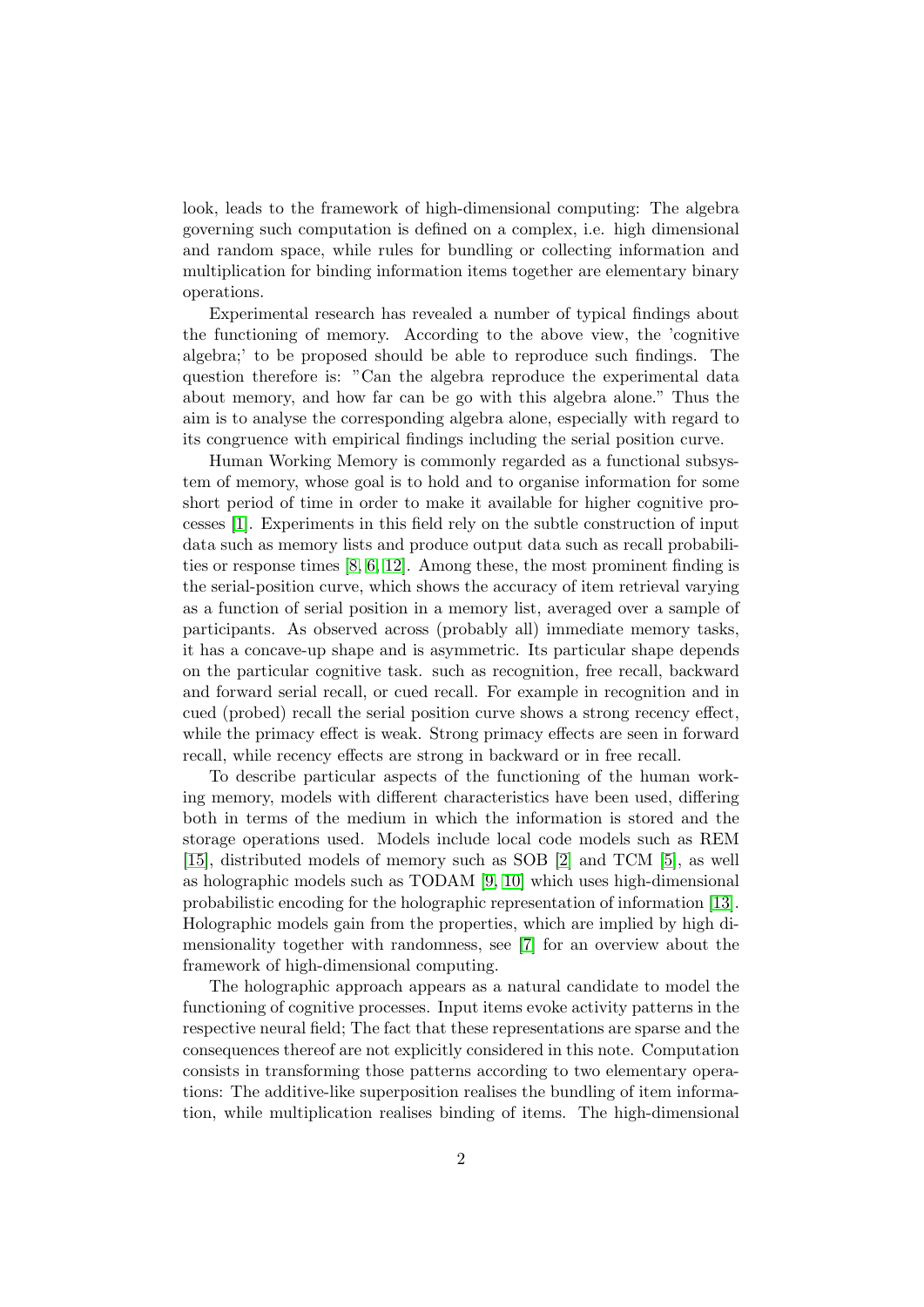look, leads to the framework of high-dimensional computing: The algebra governing such computation is defined on a complex, i.e. high dimensional and random space, while rules for bundling or collecting information and multiplication for binding information items together are elementary binary operations.

Experimental research has revealed a number of typical findings about the functioning of memory. According to the above view, the 'cognitive algebra;' to be proposed should be able to reproduce such findings. The question therefore is: "Can the algebra reproduce the experimental data about memory, and how far can be go with this algebra alone." Thus the aim is to analyse the corresponding algebra alone, especially with regard to its congruence with empirical findings including the serial position curve.

Human Working Memory is commonly regarded as a functional subsystem of memory, whose goal is to hold and to organise information for some short period of time in order to make it available for higher cognitive processes [\[1\]](#page-13-0). Experiments in this field rely on the subtle construction of input data such as memory lists and produce output data such as recall probabilities or response times [\[8,](#page-14-0) [6,](#page-14-1) [12\]](#page-14-2). Among these, the most prominent finding is the serial-position curve, which shows the accuracy of item retrieval varying as a function of serial position in a memory list, averaged over a sample of participants. As observed across (probably all) immediate memory tasks, it has a concave-up shape and is asymmetric. Its particular shape depends on the particular cognitive task. such as recognition, free recall, backward and forward serial recall, or cued recall. For example in recognition and in cued (probed) recall the serial position curve shows a strong recency effect, while the primacy effect is weak. Strong primacy effects are seen in forward recall, while recency effects are strong in backward or in free recall.

To describe particular aspects of the functioning of the human working memory, models with different characteristics have been used, differing both in terms of the medium in which the information is stored and the storage operations used. Models include local code models such as REM [\[15\]](#page-14-3), distributed models of memory such as SOB [\[2\]](#page-13-1) and TCM [\[5\]](#page-14-4), as well as holographic models such as TODAM [\[9,](#page-14-5) [10\]](#page-14-6) which uses high-dimensional probabilistic encoding for the holographic representation of information [\[13\]](#page-14-7). Holographic models gain from the properties, which are implied by high dimensionality together with randomness, see [\[7\]](#page-14-8) for an overview about the framework of high-dimensional computing.

The holographic approach appears as a natural candidate to model the functioning of cognitive processes. Input items evoke activity patterns in the respective neural field; The fact that these representations are sparse and the consequences thereof are not explicitly considered in this note. Computation consists in transforming those patterns according to two elementary operations: The additive-like superposition realises the bundling of item information, while multiplication realises binding of items. The high-dimensional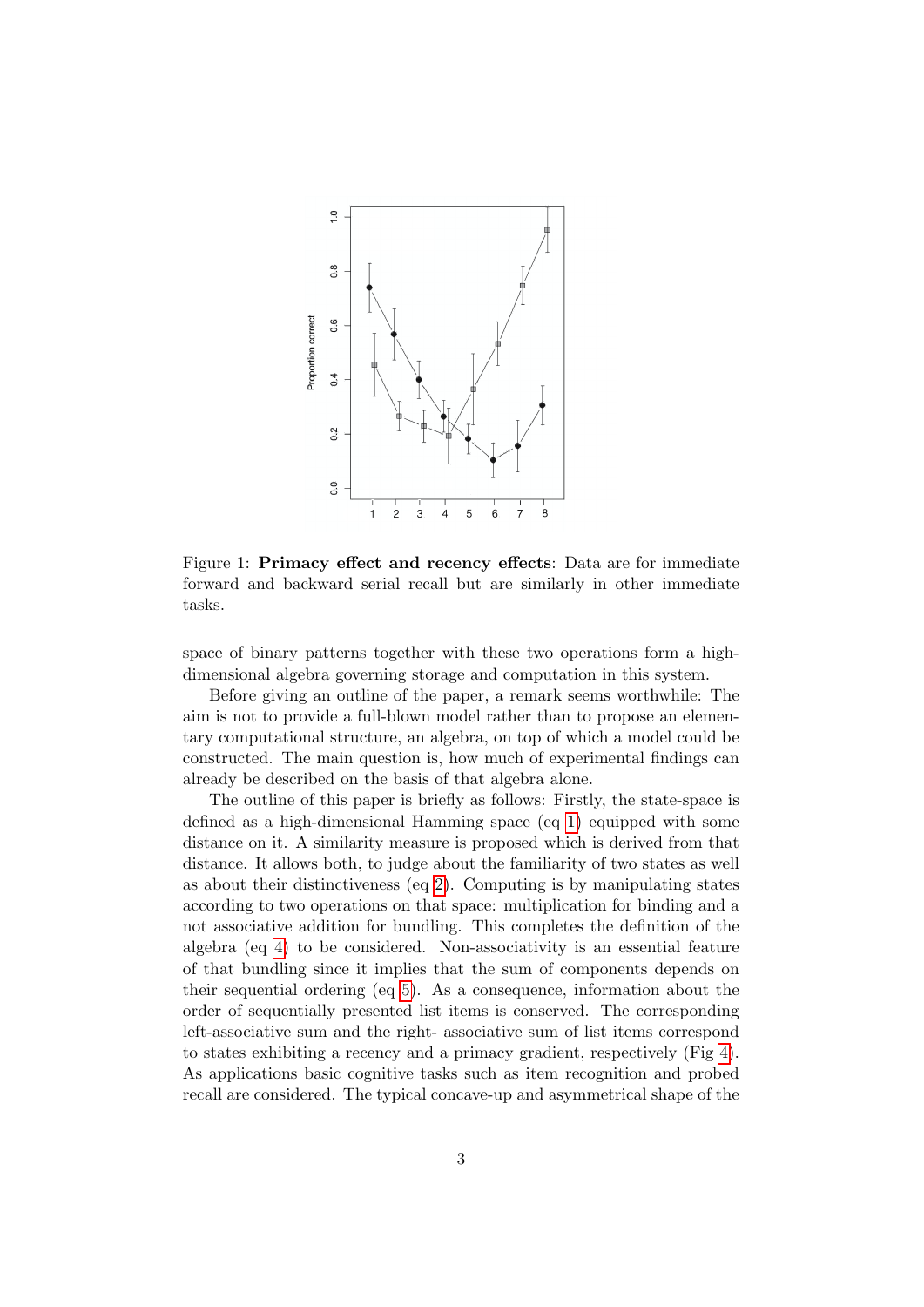

Figure 1: Primacy effect and recency effects: Data are for immediate forward and backward serial recall but are similarly in other immediate tasks.

space of binary patterns together with these two operations form a highdimensional algebra governing storage and computation in this system.

Before giving an outline of the paper, a remark seems worthwhile: The aim is not to provide a full-blown model rather than to propose an elementary computational structure, an algebra, on top of which a model could be constructed. The main question is, how much of experimental findings can already be described on the basis of that algebra alone.

The outline of this paper is briefly as follows: Firstly, the state-space is defined as a high-dimensional Hamming space (eq [1\)](#page-3-0) equipped with some distance on it. A similarity measure is proposed which is derived from that distance. It allows both, to judge about the familiarity of two states as well as about their distinctiveness (eq [2\)](#page-3-1). Computing is by manipulating states according to two operations on that space: multiplication for binding and a not associative addition for bundling. This completes the definition of the algebra (eq [4\)](#page-4-0) to be considered. Non-associativity is an essential feature of that bundling since it implies that the sum of components depends on their sequential ordering (eq [5\)](#page-4-1). As a consequence, information about the order of sequentially presented list items is conserved. The corresponding left-associative sum and the right- associative sum of list items correspond to states exhibiting a recency and a primacy gradient, respectively (Fig [4\)](#page-7-0). As applications basic cognitive tasks such as item recognition and probed recall are considered. The typical concave-up and asymmetrical shape of the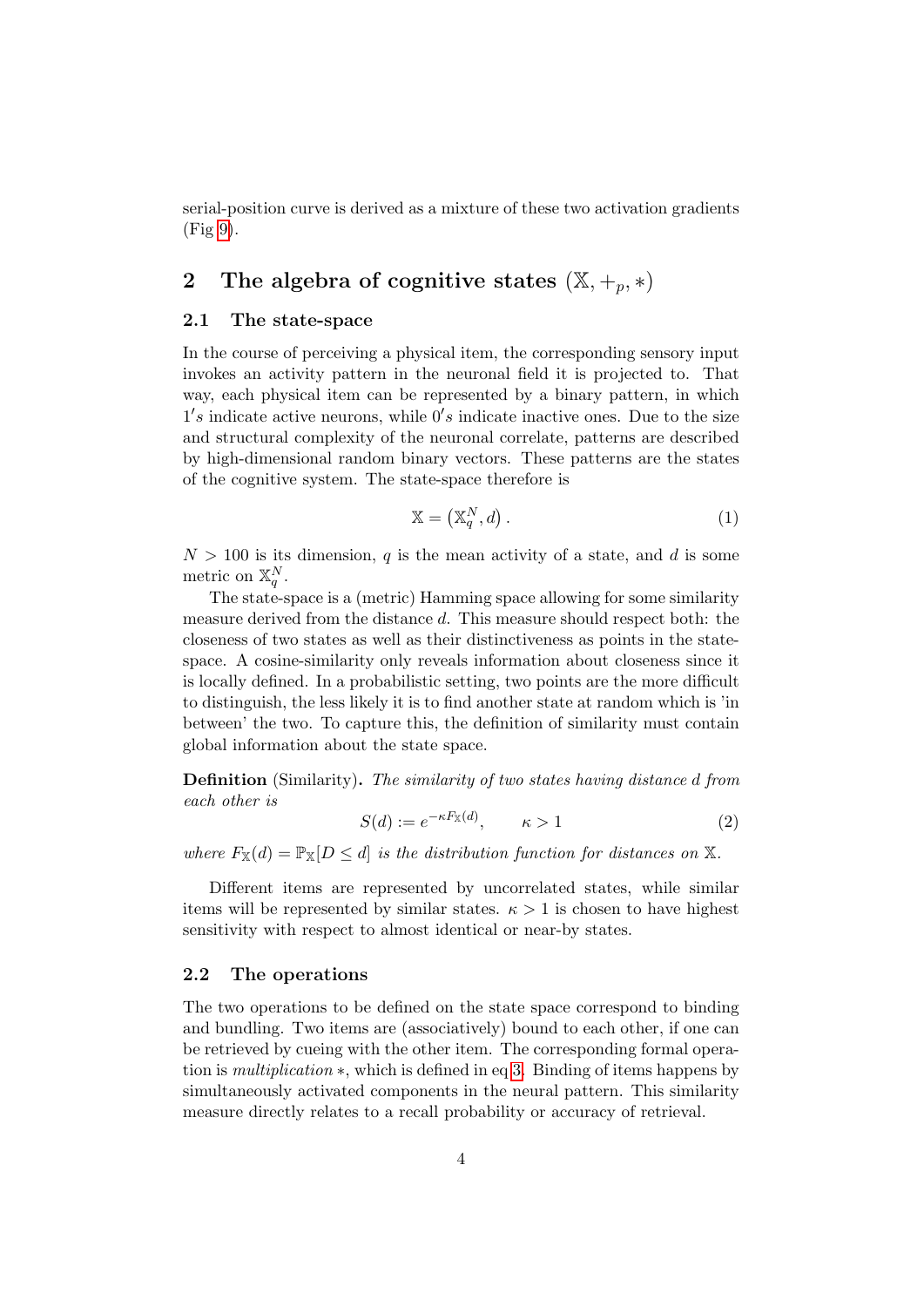serial-position curve is derived as a mixture of these two activation gradients (Fig [9\)](#page-12-0).

# 2 The algebra of cognitive states  $(\mathbb{X}, +_p, *)$

### 2.1 The state-space

In the course of perceiving a physical item, the corresponding sensory input invokes an activity pattern in the neuronal field it is projected to. That way, each physical item can be represented by a binary pattern, in which  $1's$  indicate active neurons, while  $0's$  indicate inactive ones. Due to the size and structural complexity of the neuronal correlate, patterns are described by high-dimensional random binary vectors. These patterns are the states of the cognitive system. The state-space therefore is

<span id="page-3-0"></span>
$$
\mathbb{X} = \left(\mathbb{X}_q^N, d\right). \tag{1}
$$

 $N > 100$  is its dimension, q is the mean activity of a state, and d is some metric on  $\mathbb{X}_q^N$ .

The state-space is a (metric) Hamming space allowing for some similarity measure derived from the distance d. This measure should respect both: the closeness of two states as well as their distinctiveness as points in the statespace. A cosine-similarity only reveals information about closeness since it is locally defined. In a probabilistic setting, two points are the more difficult to distinguish, the less likely it is to find another state at random which is 'in between' the two. To capture this, the definition of similarity must contain global information about the state space.

Definition (Similarity). The similarity of two states having distance d from each other is

<span id="page-3-1"></span>
$$
S(d) := e^{-\kappa F_{\mathbb{X}}(d)}, \qquad \kappa > 1 \tag{2}
$$

where  $F_{\mathbb{X}}(d) = \mathbb{P}_{\mathbb{X}}[D \leq d]$  is the distribution function for distances on X.

Different items are represented by uncorrelated states, while similar items will be represented by similar states.  $\kappa > 1$  is chosen to have highest sensitivity with respect to almost identical or near-by states.

### 2.2 The operations

The two operations to be defined on the state space correspond to binding and bundling. Two items are (associatively) bound to each other, if one can be retrieved by cueing with the other item. The corresponding formal operation is multiplication ∗, which is defined in eq [3.](#page-4-2) Binding of items happens by simultaneously activated components in the neural pattern. This similarity measure directly relates to a recall probability or accuracy of retrieval.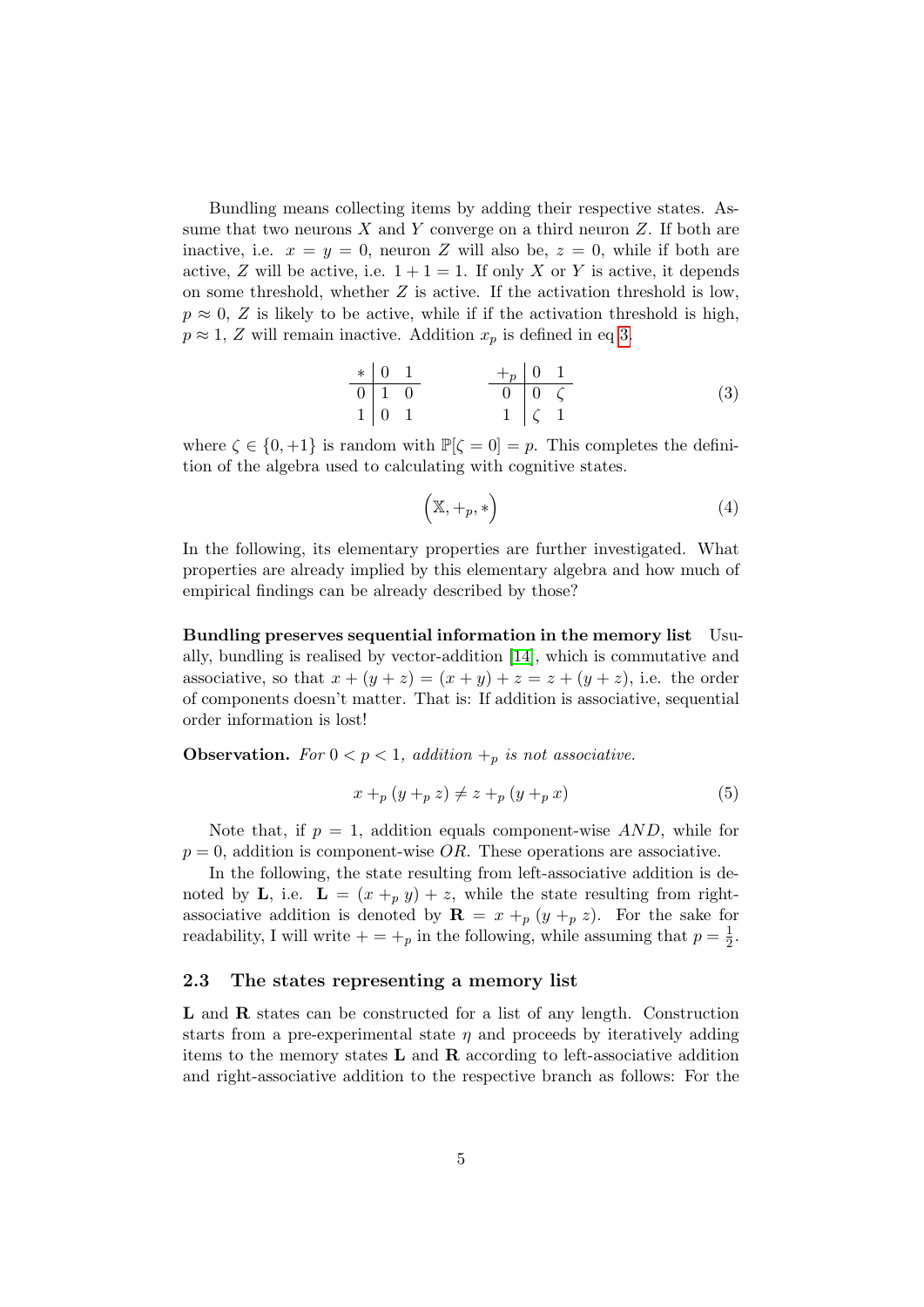Bundling means collecting items by adding their respective states. Assume that two neurons  $X$  and  $Y$  converge on a third neuron  $Z$ . If both are inactive, i.e.  $x = y = 0$ , neuron Z will also be,  $z = 0$ , while if both are active, Z will be active, i.e.  $1+1=1$ . If only X or Y is active, it depends on some threshold, whether  $Z$  is active. If the activation threshold is low,  $p \approx 0$ , Z is likely to be active, while if if the activation threshold is high,  $p \approx 1$ , Z will remain inactive. Addition  $x_p$  is defined in eq [3.](#page-4-2)

<span id="page-4-2"></span>
$$
\begin{array}{c|cccc}\n* & 0 & 1 & & & +p & 0 & 1 \\
\hline\n0 & 1 & 0 & & & & 0 & \zeta \\
1 & 0 & 1 & & & & 1 & \zeta & 1\n\end{array} \tag{3}
$$

where  $\zeta \in \{0, +1\}$  is random with  $\mathbb{P}[\zeta = 0] = p$ . This completes the definition of the algebra used to calculating with cognitive states.

<span id="page-4-0"></span>
$$
(\mathbb{X}, +_p, *)
$$
 (4)

In the following, its elementary properties are further investigated. What properties are already implied by this elementary algebra and how much of empirical findings can be already described by those?

Bundling preserves sequential information in the memory list Usually, bundling is realised by vector-addition [\[14\]](#page-14-9), which is commutative and associative, so that  $x + (y + z) = (x + y) + z = z + (y + z)$ , i.e. the order of components doesn't matter. That is: If addition is associative, sequential order information is lost!

**Observation.** For  $0 < p < 1$ , addition  $+_p$  is not associative.

<span id="page-4-1"></span>
$$
x +_{p} (y +_{p} z) \neq z +_{p} (y +_{p} x)
$$
\n
$$
(5)
$$

Note that, if  $p = 1$ , addition equals component-wise  $AND$ , while for  $p = 0$ , addition is component-wise  $OR$ . These operations are associative.

In the following, the state resulting from left-associative addition is denoted by **L**, i.e.  $\mathbf{L} = (x +_p y) + z$ , while the state resulting from rightassociative addition is denoted by  $\mathbf{R} = x + p (y + p z)$ . For the sake for readability, I will write  $+ = +_p$  in the following, while assuming that  $p = \frac{1}{2}$  $rac{1}{2}$ .

### 2.3 The states representing a memory list

L and R states can be constructed for a list of any length. Construction starts from a pre-experimental state  $\eta$  and proceeds by iteratively adding items to the memory states  $L$  and  $R$  according to left-associative addition and right-associative addition to the respective branch as follows: For the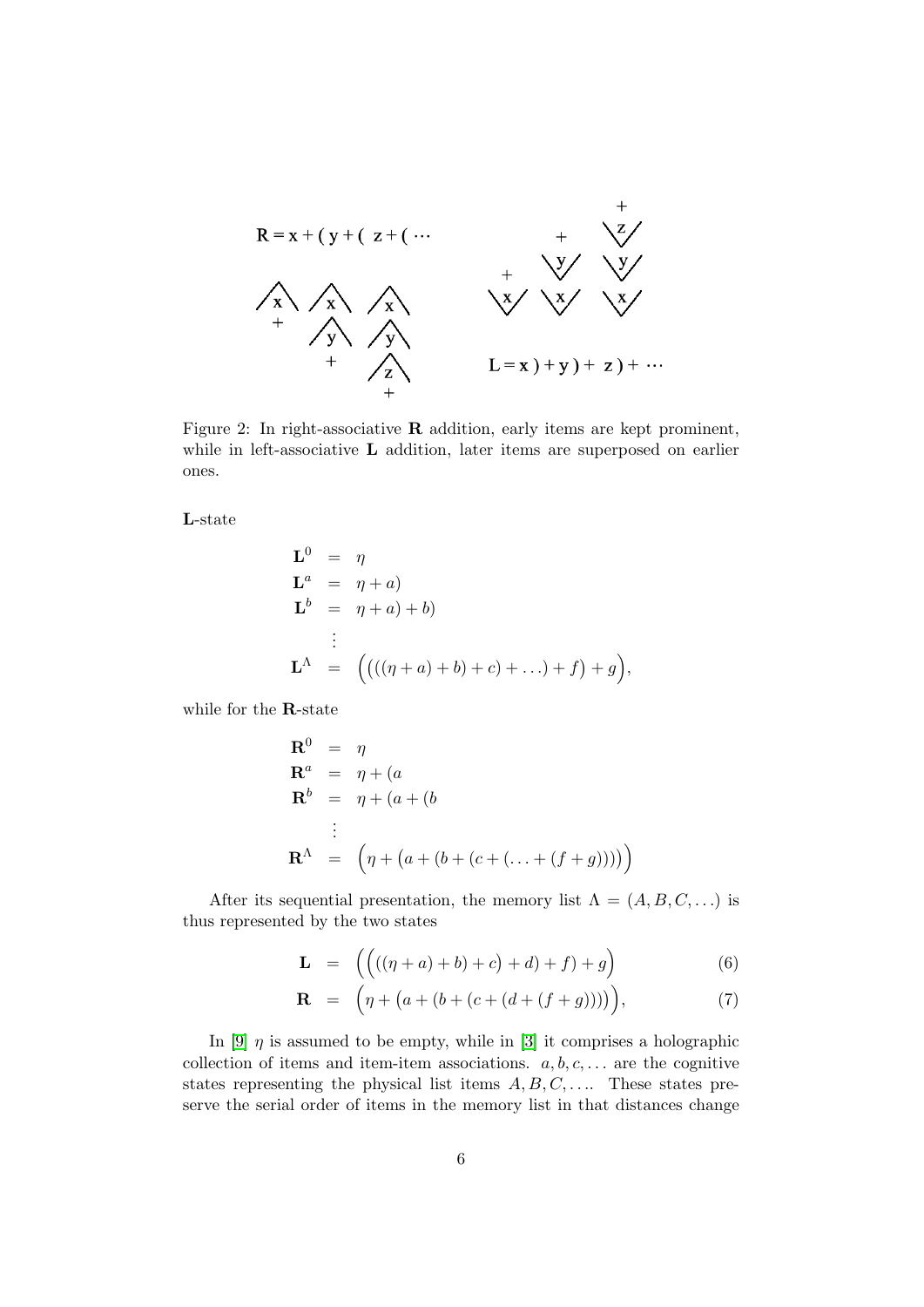

Figure 2: In right-associative R addition, early items are kept prominent, while in left-associative **L** addition, later items are superposed on earlier ones.

L-state

$$
\mathbf{L}^{0} = \eta
$$
  
\n
$$
\mathbf{L}^{a} = \eta + a
$$
  
\n
$$
\mathbf{L}^{b} = \eta + a
$$
  
\n
$$
\vdots
$$
  
\n
$$
\mathbf{L}^{\Lambda} = ((((\eta + a) + b) + c) + ...) + f) + g),
$$

while for the R-state

$$
\mathbf{R}^{0} = \eta
$$
  
\n
$$
\mathbf{R}^{a} = \eta + (a
$$
  
\n
$$
\mathbf{R}^{b} = \eta + (a + (b
$$
  
\n
$$
\vdots
$$
  
\n
$$
\mathbf{R}^{\Lambda} = (\eta + (a + (b + (c + (\dots + (f + g))))))
$$

After its sequential presentation, the memory list  $\Lambda = (A, B, C, \ldots)$  is thus represented by the two states

$$
\mathbf{L} = \left( \left( ((\eta + a) + b) + c \right) + d) + f \right) + g \tag{6}
$$

$$
\mathbf{R} = (\eta + (a + (b + (c + (d + (f + g)))))), \tag{7}
$$

In [\[9\]](#page-14-5)  $\eta$  is assumed to be empty, while in [\[3\]](#page-13-2) it comprises a holographic collection of items and item-item associations.  $a, b, c, \ldots$  are the cognitive states representing the physical list items  $A, B, C, \ldots$ . These states preserve the serial order of items in the memory list in that distances change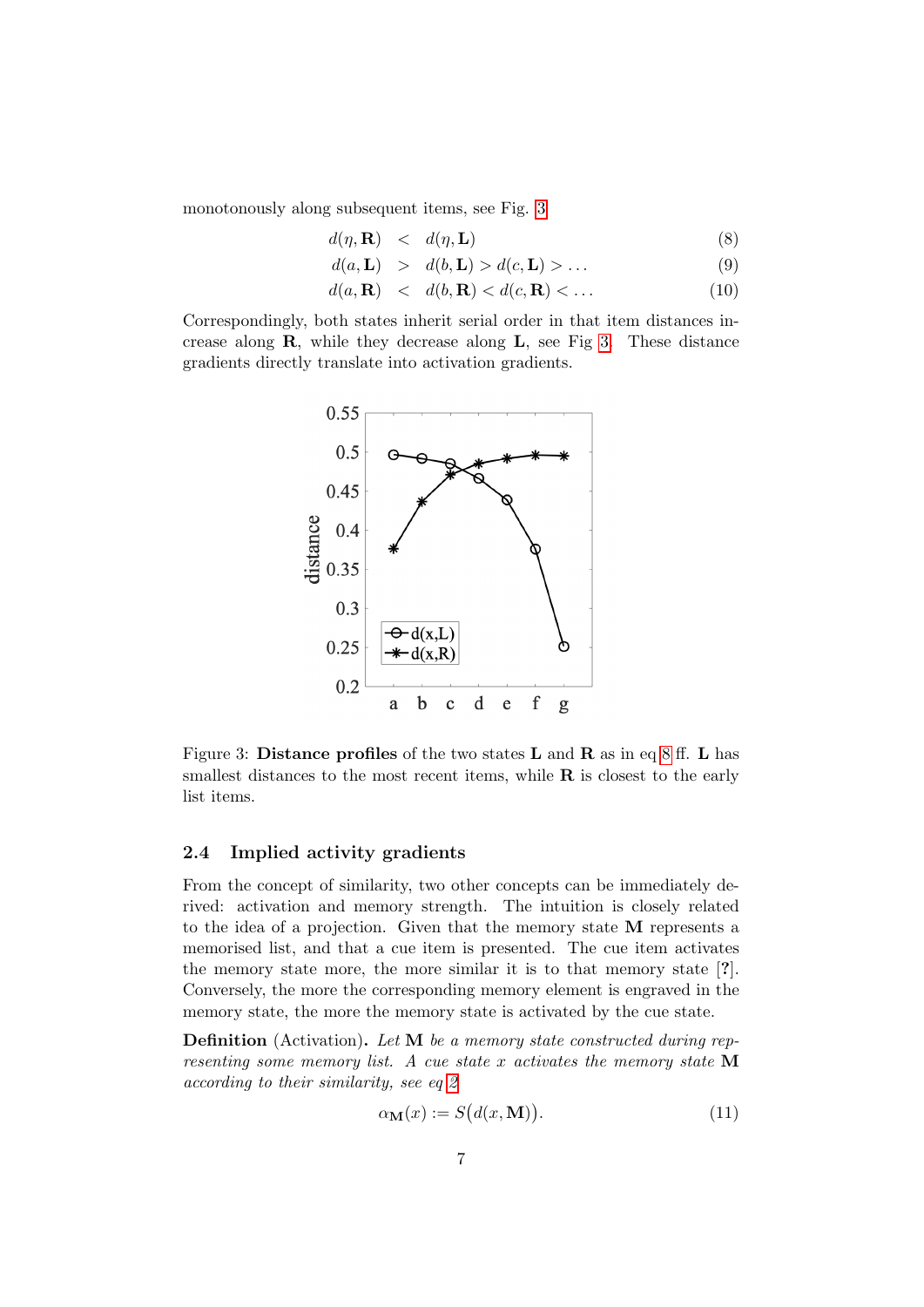monotonously along subsequent items, see Fig. [3](#page-6-0)

<span id="page-6-1"></span>
$$
d(\eta, \mathbf{R}) \quad < \quad d(\eta, \mathbf{L}) \tag{8}
$$

$$
d(a, \mathbf{L}) > d(b, \mathbf{L}) > d(c, \mathbf{L}) > \dots
$$
\n(9)

$$
d(a, \mathbf{R}) \quad < \quad d(b, \mathbf{R}) < d(c, \mathbf{R}) < \dots \tag{10}
$$

Correspondingly, both states inherit serial order in that item distances increase along  $\bf{R}$ , while they decrease along  $\bf{L}$ , see Fig [3.](#page-6-0) These distance gradients directly translate into activation gradients.



<span id="page-6-0"></span>Figure 3: Distance profiles of the two states  $L$  and  $R$  as in eq [8](#page-6-1) ff.  $L$  has smallest distances to the most recent items, while  $\bf{R}$  is closest to the early list items.

### 2.4 Implied activity gradients

From the concept of similarity, two other concepts can be immediately derived: activation and memory strength. The intuition is closely related to the idea of a projection. Given that the memory state M represents a memorised list, and that a cue item is presented. The cue item activates the memory state more, the more similar it is to that memory state [?]. Conversely, the more the corresponding memory element is engraved in the memory state, the more the memory state is activated by the cue state.

Definition (Activation). Let M be a memory state constructed during representing some memory list. A cue state x activates the memory state  $M$ according to their similarity, see eq [2](#page-3-1)

<span id="page-6-2"></span>
$$
\alpha_{\mathbf{M}}(x) := S\big(d(x, \mathbf{M})\big). \tag{11}
$$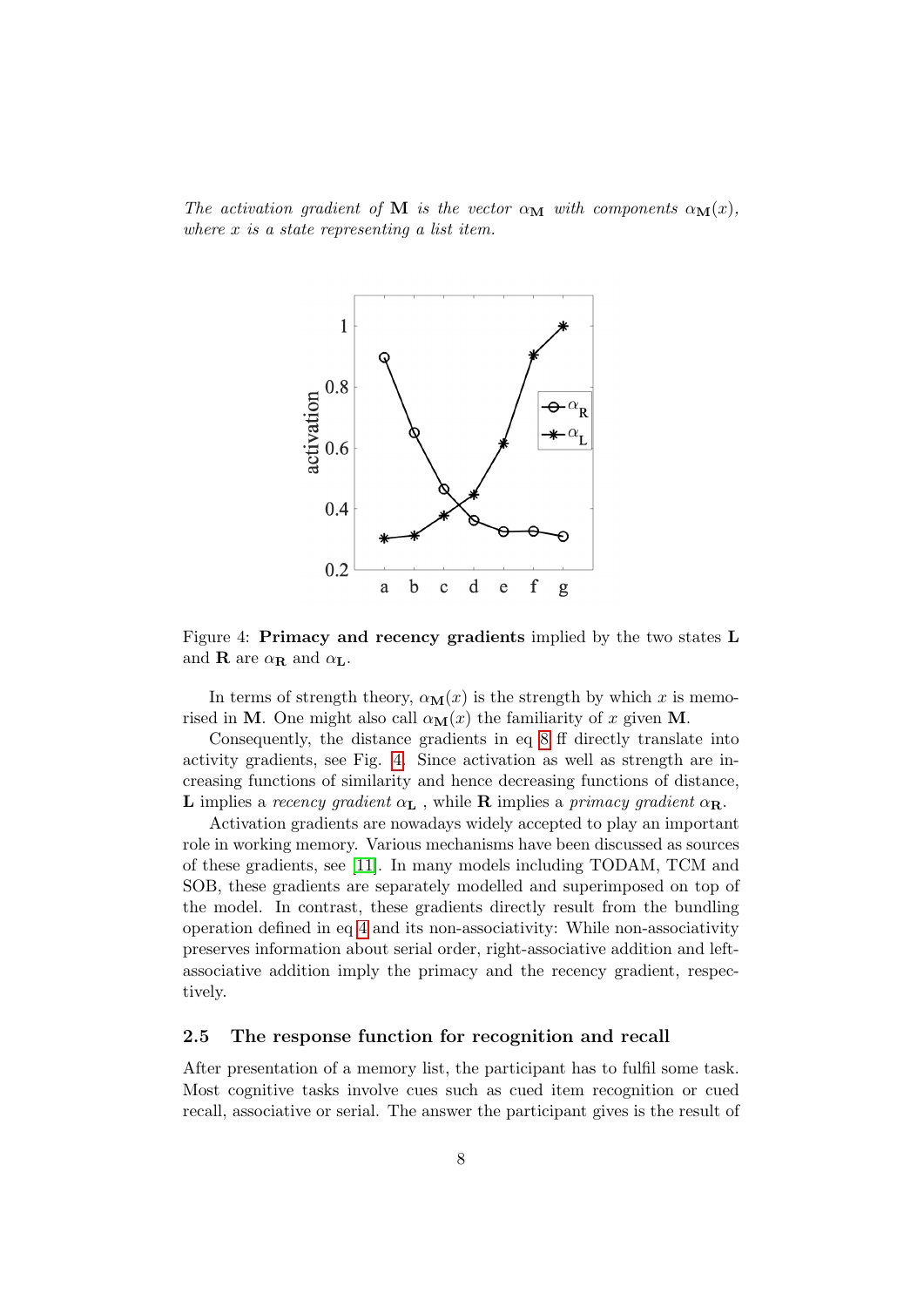The activation gradient of M is the vector  $\alpha_{\mathbf{M}}$  with components  $\alpha_{\mathbf{M}}(x)$ , where x is a state representing a list item.



<span id="page-7-0"></span>Figure 4: Primacy and recency gradients implied by the two states L and **R** are  $\alpha_{\mathbf{R}}$  and  $\alpha_{\mathbf{L}}$ .

In terms of strength theory,  $\alpha_{\mathbf{M}}(x)$  is the strength by which x is memorised in M. One might also call  $\alpha_{\mathbf{M}}(x)$  the familiarity of x given M.

Consequently, the distance gradients in eq [8](#page-6-1) ff directly translate into activity gradients, see Fig. [4.](#page-7-0) Since activation as well as strength are increasing functions of similarity and hence decreasing functions of distance, L implies a recency gradient  $\alpha_{\mathbf{L}}$ , while **R** implies a primacy gradient  $\alpha_{\mathbf{R}}$ .

Activation gradients are nowadays widely accepted to play an important role in working memory. Various mechanisms have been discussed as sources of these gradients, see [\[11\]](#page-14-10). In many models including TODAM, TCM and SOB, these gradients are separately modelled and superimposed on top of the model. In contrast, these gradients directly result from the bundling operation defined in eq [4](#page-4-0) and its non-associativity: While non-associativity preserves information about serial order, right-associative addition and leftassociative addition imply the primacy and the recency gradient, respectively.

### 2.5 The response function for recognition and recall

After presentation of a memory list, the participant has to fulfil some task. Most cognitive tasks involve cues such as cued item recognition or cued recall, associative or serial. The answer the participant gives is the result of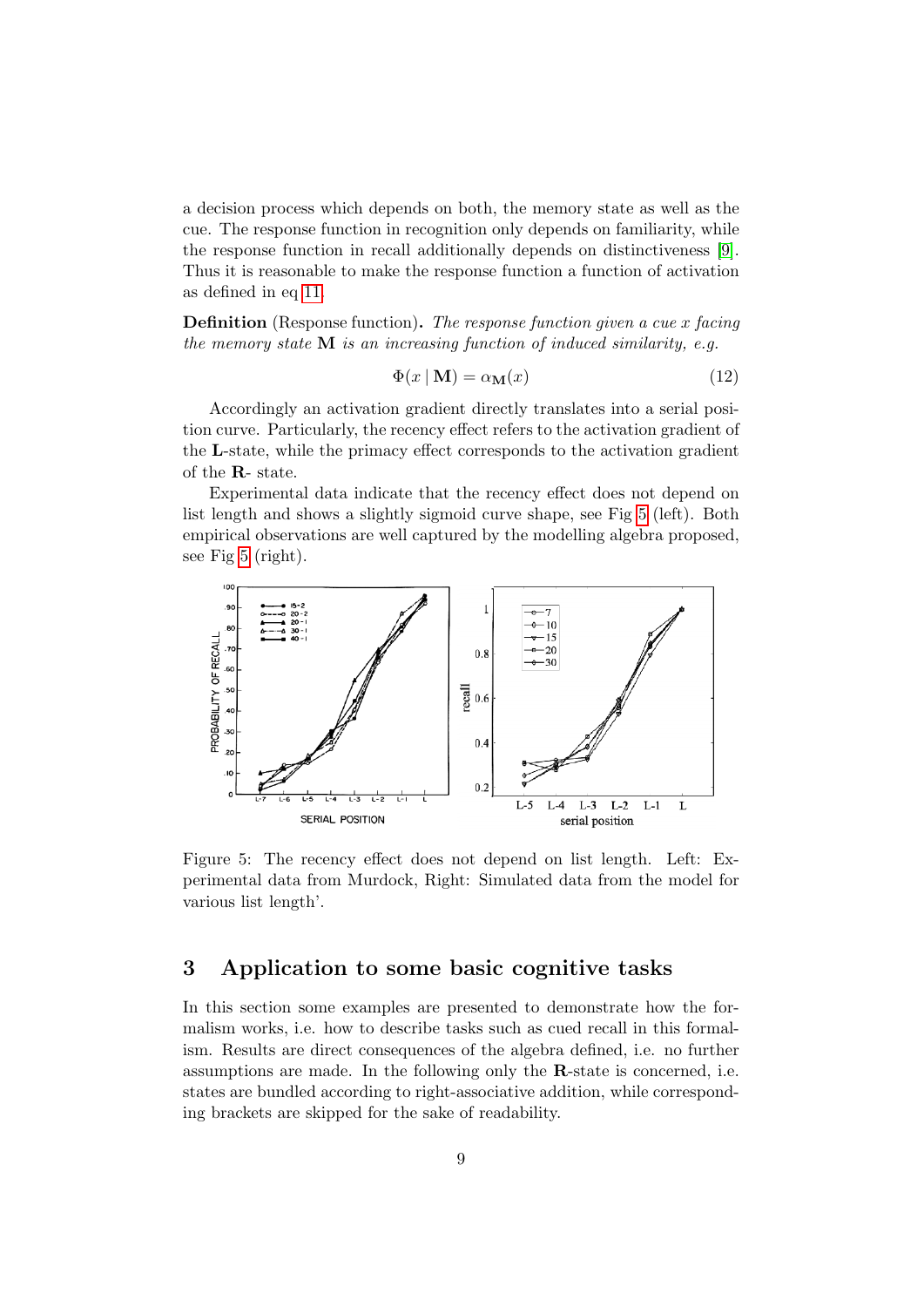a decision process which depends on both, the memory state as well as the cue. The response function in recognition only depends on familiarity, while the response function in recall additionally depends on distinctiveness [\[9\]](#page-14-5). Thus it is reasonable to make the response function a function of activation as defined in eq [11.](#page-6-2)

**Definition** (Response function). The response function given a cue x facing the memory state  $M$  is an increasing function of induced similarity, e.g.

$$
\Phi(x \mid \mathbf{M}) = \alpha_{\mathbf{M}}(x) \tag{12}
$$

Accordingly an activation gradient directly translates into a serial position curve. Particularly, the recency effect refers to the activation gradient of the L-state, while the primacy effect corresponds to the activation gradient of the R- state.

Experimental data indicate that the recency effect does not depend on list length and shows a slightly sigmoid curve shape, see Fig [5](#page-8-0) (left). Both empirical observations are well captured by the modelling algebra proposed, see Fig [5](#page-8-0) (right).



<span id="page-8-0"></span>Figure 5: The recency effect does not depend on list length. Left: Experimental data from Murdock, Right: Simulated data from the model for various list length'.

# 3 Application to some basic cognitive tasks

In this section some examples are presented to demonstrate how the formalism works, i.e. how to describe tasks such as cued recall in this formalism. Results are direct consequences of the algebra defined, i.e. no further assumptions are made. In the following only the R-state is concerned, i.e. states are bundled according to right-associative addition, while corresponding brackets are skipped for the sake of readability.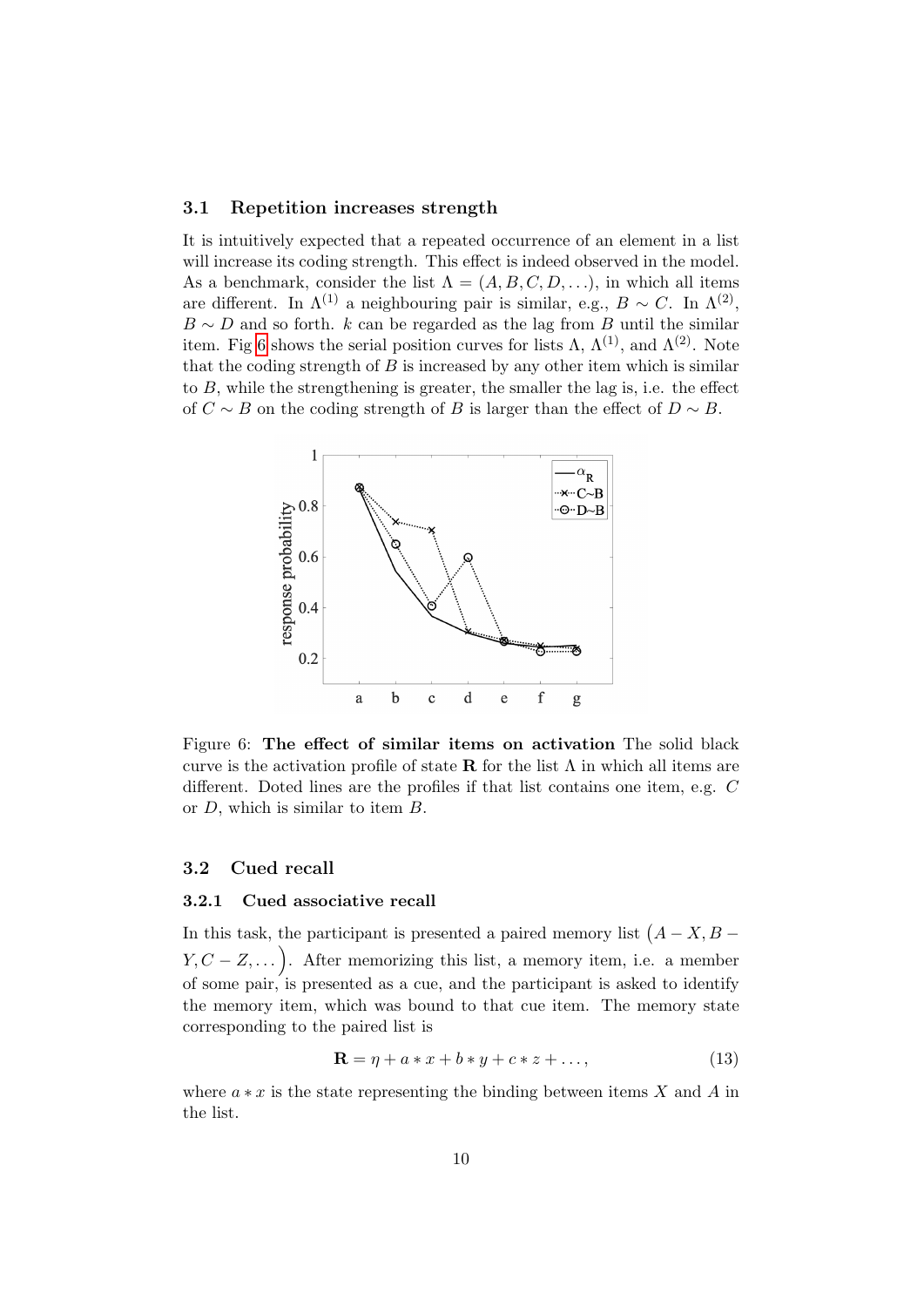#### 3.1 Repetition increases strength

It is intuitively expected that a repeated occurrence of an element in a list will increase its coding strength. This effect is indeed observed in the model. As a benchmark, consider the list  $\Lambda = (A, B, C, D, \ldots)$ , in which all items are different. In  $\Lambda^{(1)}$  a neighbouring pair is similar, e.g.,  $B \sim C$ . In  $\Lambda^{(2)}$ ,  $B \sim D$  and so forth. k can be regarded as the lag from B until the similar item. Fig [6](#page-9-0) shows the serial position curves for lists  $\Lambda$ ,  $\Lambda^{(1)}$ , and  $\Lambda^{(2)}$ . Note that the coding strength of  $B$  is increased by any other item which is similar to B, while the strengthening is greater, the smaller the lag is, i.e. the effect of  $C \sim B$  on the coding strength of B is larger than the effect of  $D \sim B$ .



<span id="page-9-0"></span>Figure 6: The effect of similar items on activation The solid black curve is the activation profile of state **R** for the list  $\Lambda$  in which all items are different. Doted lines are the profiles if that list contains one item, e.g. C or D, which is similar to item B.

#### 3.2 Cued recall

#### 3.2.1 Cued associative recall

In this task, the participant is presented a paired memory list  $(A - X, B Y, C - Z, \dots$ ). After memorizing this list, a memory item, i.e. a member of some pair, is presented as a cue, and the participant is asked to identify the memory item, which was bound to that cue item. The memory state corresponding to the paired list is

$$
\mathbf{R} = \eta + a \ast x + b \ast y + c \ast z + \dots,\tag{13}
$$

where  $a * x$  is the state representing the binding between items X and A in the list.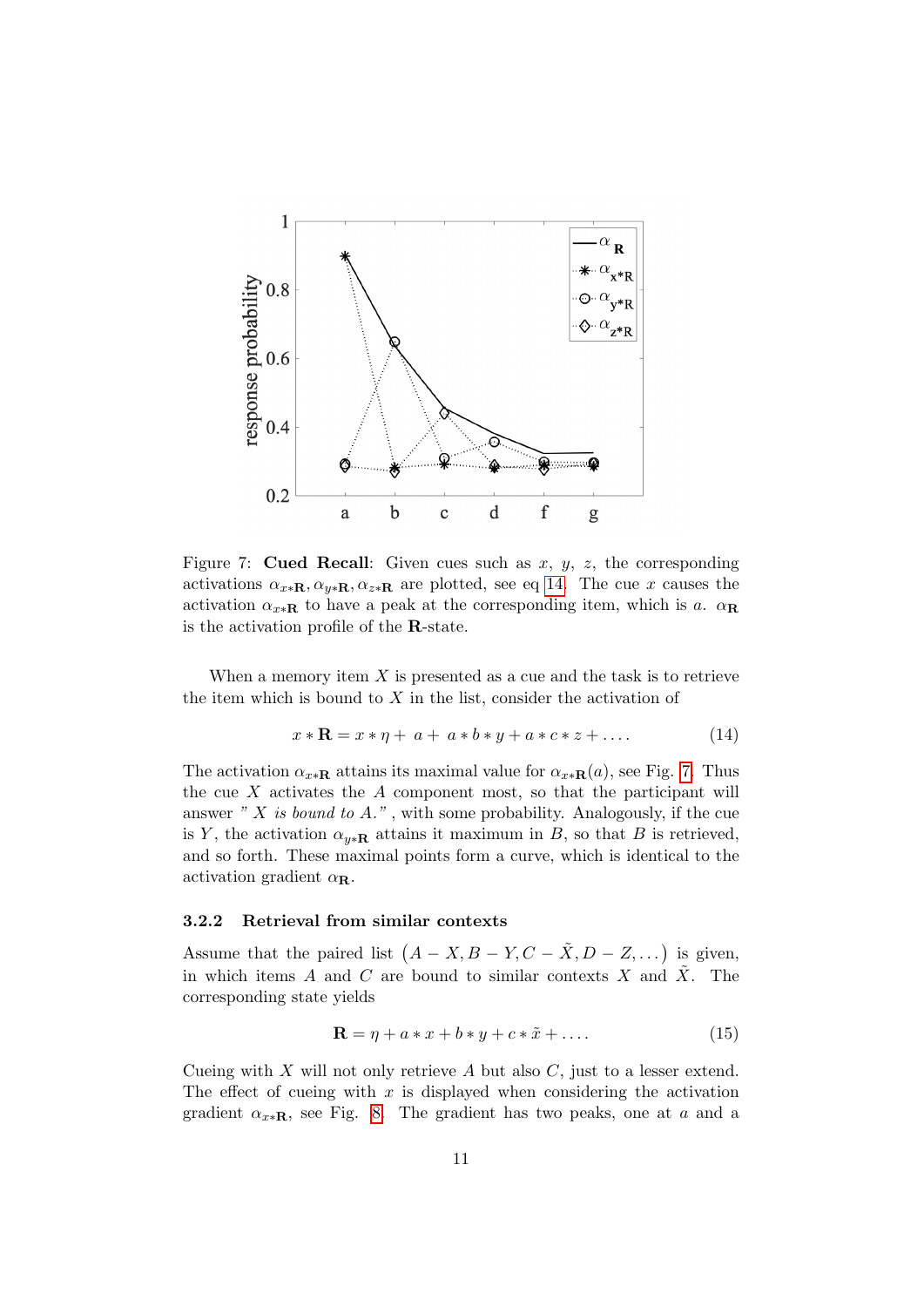

<span id="page-10-1"></span>Figure 7: **Cued Recall:** Given cues such as  $x, y, z$ , the corresponding activations  $\alpha_{x*\mathbf{R}}, \alpha_{y*\mathbf{R}}, \alpha_{z*\mathbf{R}}$  are plotted, see eq [14.](#page-10-0) The cue x causes the activation  $\alpha_{x*\mathbf{R}}$  to have a peak at the corresponding item, which is a.  $\alpha_{\mathbf{R}}$ is the activation profile of the R-state.

When a memory item  $X$  is presented as a cue and the task is to retrieve the item which is bound to  $X$  in the list, consider the activation of

<span id="page-10-0"></span>
$$
x * \mathbf{R} = x * \eta + a + a * b * y + a * c * z + \dots
$$
 (14)

The activation  $\alpha_{x*\mathbf{R}}$  attains its maximal value for  $\alpha_{x*\mathbf{R}}(a)$ , see Fig. [7.](#page-10-1) Thus the cue  $X$  activates the  $A$  component most, so that the participant will answer "  $X$  is bound to  $A$ .", with some probability. Analogously, if the cue is Y, the activation  $\alpha_{v*R}$  attains it maximum in B, so that B is retrieved, and so forth. These maximal points form a curve, which is identical to the activation gradient  $\alpha_{\mathbf{R}}$ .

### 3.2.2 Retrieval from similar contexts

Assume that the paired list  $(A - X, B - Y, C - \tilde{X}, D - Z, ...)$  is given, in which items A and C are bound to similar contexts X and  $\tilde{X}$ . The corresponding state yields

$$
\mathbf{R} = \eta + a \ast x + b \ast y + c \ast \tilde{x} + \dots \tag{15}
$$

Cueing with  $X$  will not only retrieve  $A$  but also  $C$ , just to a lesser extend. The effect of cueing with  $x$  is displayed when considering the activation gradient  $\alpha_{x*R}$ , see Fig. [8.](#page-11-0) The gradient has two peaks, one at a and a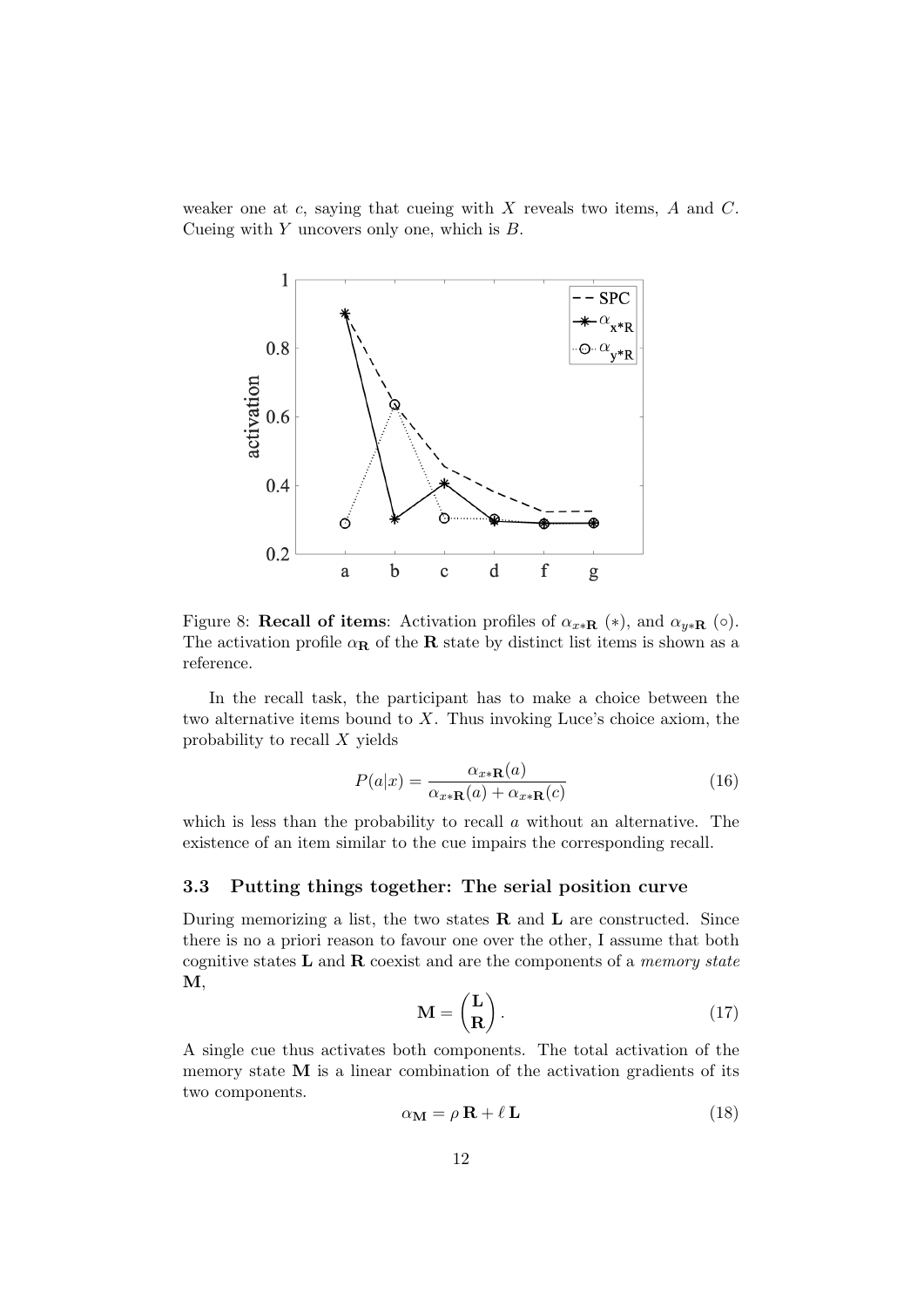weaker one at c, saying that cueing with  $X$  reveals two items,  $A$  and  $C$ . Cueing with  $Y$  uncovers only one, which is  $B$ .



<span id="page-11-0"></span>Figure 8: Recall of items: Activation profiles of  $\alpha_{x*R}$  (\*), and  $\alpha_{y*R}$  ( $\circ$ ). The activation profile  $\alpha_{\mathbf{R}}$  of the **R** state by distinct list items is shown as a reference.

In the recall task, the participant has to make a choice between the two alternative items bound to X. Thus invoking Luce's choice axiom, the probability to recall X yields

$$
P(a|x) = \frac{\alpha_{x*\mathbf{R}}(a)}{\alpha_{x*\mathbf{R}}(a) + \alpha_{x*\mathbf{R}}(c)}
$$
(16)

which is less than the probability to recall  $a$  without an alternative. The existence of an item similar to the cue impairs the corresponding recall.

### 3.3 Putting things together: The serial position curve

During memorizing a list, the two states  $\bf{R}$  and  $\bf{L}$  are constructed. Since there is no a priori reason to favour one over the other, I assume that both cognitive states  $L$  and  $R$  coexist and are the components of a *memory state* M,

$$
\mathbf{M} = \begin{pmatrix} \mathbf{L} \\ \mathbf{R} \end{pmatrix} . \tag{17}
$$

A single cue thus activates both components. The total activation of the memory state M is a linear combination of the activation gradients of its two components.

<span id="page-11-1"></span>
$$
\alpha_{\mathbf{M}} = \rho \, \mathbf{R} + \ell \, \mathbf{L} \tag{18}
$$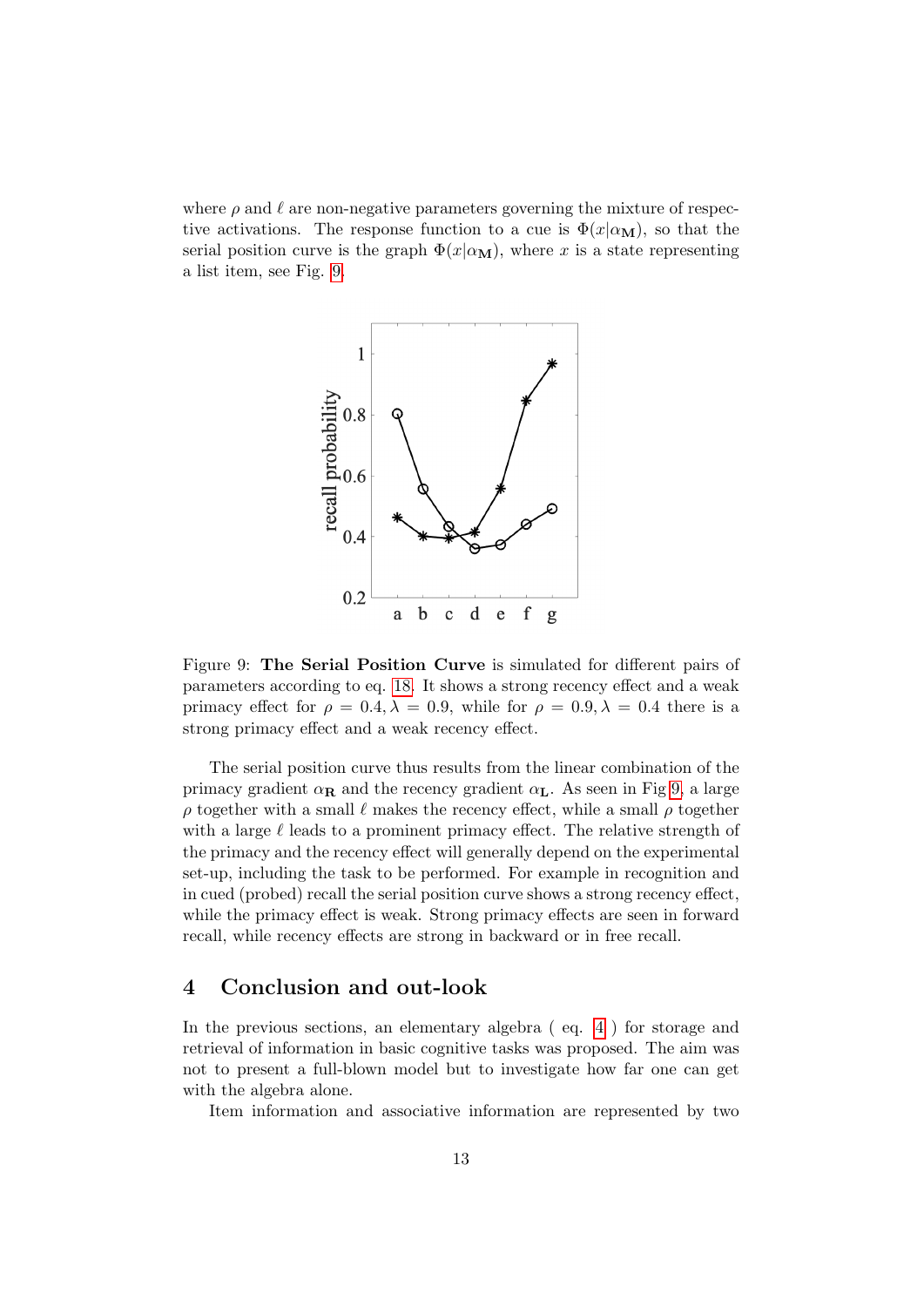where  $\rho$  and  $\ell$  are non-negative parameters governing the mixture of respective activations. The response function to a cue is  $\Phi(x|\alpha_{\rm M})$ , so that the serial position curve is the graph  $\Phi(x|\alpha_{\rm M})$ , where x is a state representing a list item, see Fig. [9.](#page-12-0)



<span id="page-12-0"></span>Figure 9: The Serial Position Curve is simulated for different pairs of parameters according to eq. [18.](#page-11-1) It shows a strong recency effect and a weak primacy effect for  $\rho = 0.4$ ,  $\lambda = 0.9$ , while for  $\rho = 0.9$ ,  $\lambda = 0.4$  there is a strong primacy effect and a weak recency effect.

The serial position curve thus results from the linear combination of the primacy gradient  $\alpha_R$  and the recency gradient  $\alpha_L$ . As seen in Fig [9,](#page-12-0) a large  $\rho$  together with a small  $\ell$  makes the recency effect, while a small  $\rho$  together with a large  $\ell$  leads to a prominent primacy effect. The relative strength of the primacy and the recency effect will generally depend on the experimental set-up, including the task to be performed. For example in recognition and in cued (probed) recall the serial position curve shows a strong recency effect, while the primacy effect is weak. Strong primacy effects are seen in forward recall, while recency effects are strong in backward or in free recall.

# 4 Conclusion and out-look

In the previous sections, an elementary algebra (eq. [4](#page-4-0)) for storage and retrieval of information in basic cognitive tasks was proposed. The aim was not to present a full-blown model but to investigate how far one can get with the algebra alone.

Item information and associative information are represented by two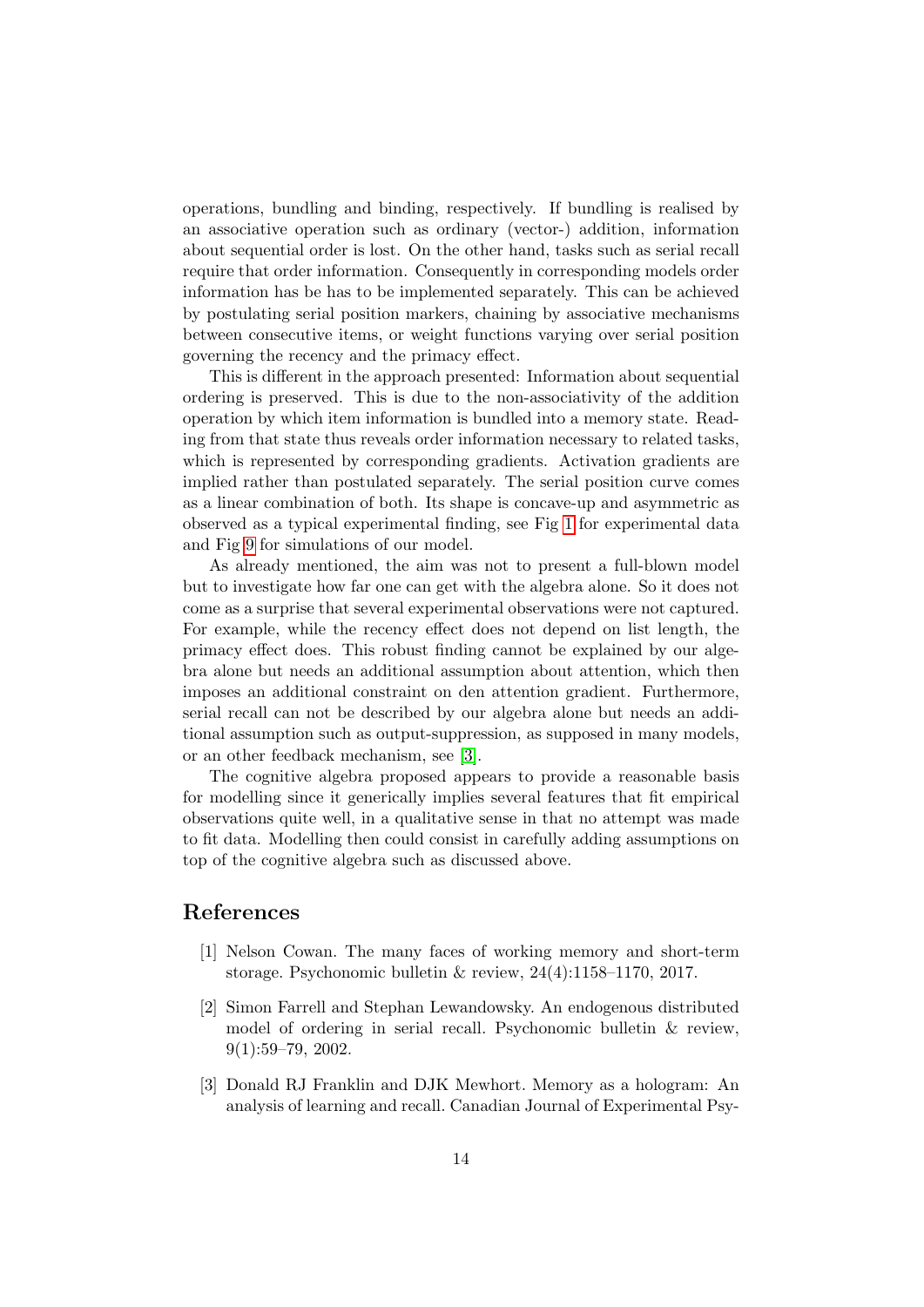operations, bundling and binding, respectively. If bundling is realised by an associative operation such as ordinary (vector-) addition, information about sequential order is lost. On the other hand, tasks such as serial recall require that order information. Consequently in corresponding models order information has be has to be implemented separately. This can be achieved by postulating serial position markers, chaining by associative mechanisms between consecutive items, or weight functions varying over serial position governing the recency and the primacy effect.

This is different in the approach presented: Information about sequential ordering is preserved. This is due to the non-associativity of the addition operation by which item information is bundled into a memory state. Reading from that state thus reveals order information necessary to related tasks, which is represented by corresponding gradients. Activation gradients are implied rather than postulated separately. The serial position curve comes as a linear combination of both. Its shape is concave-up and asymmetric as observed as a typical experimental finding, see Fig [1](#page-0-0) for experimental data and Fig [9](#page-12-0) for simulations of our model.

As already mentioned, the aim was not to present a full-blown model but to investigate how far one can get with the algebra alone. So it does not come as a surprise that several experimental observations were not captured. For example, while the recency effect does not depend on list length, the primacy effect does. This robust finding cannot be explained by our algebra alone but needs an additional assumption about attention, which then imposes an additional constraint on den attention gradient. Furthermore, serial recall can not be described by our algebra alone but needs an additional assumption such as output-suppression, as supposed in many models, or an other feedback mechanism, see [\[3\]](#page-13-2).

The cognitive algebra proposed appears to provide a reasonable basis for modelling since it generically implies several features that fit empirical observations quite well, in a qualitative sense in that no attempt was made to fit data. Modelling then could consist in carefully adding assumptions on top of the cognitive algebra such as discussed above.

# References

- <span id="page-13-0"></span>[1] Nelson Cowan. The many faces of working memory and short-term storage. Psychonomic bulletin & review, 24(4):1158–1170, 2017.
- <span id="page-13-1"></span>[2] Simon Farrell and Stephan Lewandowsky. An endogenous distributed model of ordering in serial recall. Psychonomic bulletin & review,  $9(1):59-79, 2002.$
- <span id="page-13-2"></span>[3] Donald RJ Franklin and DJK Mewhort. Memory as a hologram: An analysis of learning and recall. Canadian Journal of Experimental Psy-